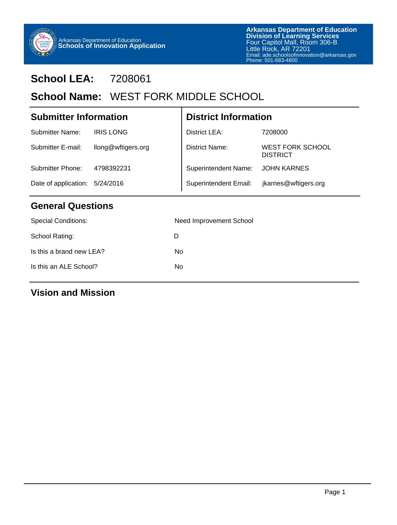

# **School LEA:** 7208061

# School Name: WEST FORK MIDDLE SCHOOL

| <b>Submitter Information</b> |                    | <b>District Information</b>  |                                            |  |
|------------------------------|--------------------|------------------------------|--------------------------------------------|--|
| <b>Submitter Name:</b>       | <b>IRIS LONG</b>   | District LEA:                | 7208000                                    |  |
| Submitter E-mail:            | llong@wftigers.org | District Name:               | <b>WEST FORK SCHOOL</b><br><b>DISTRICT</b> |  |
| Submitter Phone:             | 4798392231         | Superintendent Name:         | <b>JOHN KARNES</b>                         |  |
| Date of application:         | 5/24/2016          | <b>Superintendent Email:</b> | jkarnes@wftigers.org                       |  |
|                              |                    |                              |                                            |  |

т

## **General Questions**

| <b>Special Conditions:</b> | Need Improvement School |
|----------------------------|-------------------------|
| School Rating:             | D                       |
| Is this a brand new LEA?   | No.                     |
| Is this an ALE School?     | No                      |
|                            |                         |

### **Vision and Mission**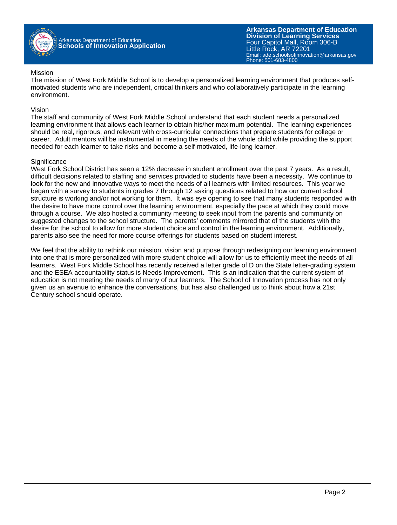

#### Mission

The mission of West Fork Middle School is to develop a personalized learning environment that produces selfmotivated students who are independent, critical thinkers and who collaboratively participate in the learning environment.

#### Vision

The staff and community of West Fork Middle School understand that each student needs a personalized learning environment that allows each learner to obtain his/her maximum potential. The learning experiences should be real, rigorous, and relevant with cross-curricular connections that prepare students for college or career. Adult mentors will be instrumental in meeting the needs of the whole child while providing the support needed for each learner to take risks and become a self-motivated, life-long learner.

#### **Significance**

West Fork School District has seen a 12% decrease in student enrollment over the past 7 years. As a result, difficult decisions related to staffing and services provided to students have been a necessity. We continue to look for the new and innovative ways to meet the needs of all learners with limited resources. This year we began with a survey to students in grades 7 through 12 asking questions related to how our current school structure is working and/or not working for them. It was eye opening to see that many students responded with the desire to have more control over the learning environment, especially the pace at which they could move through a course. We also hosted a community meeting to seek input from the parents and community on suggested changes to the school structure. The parents' comments mirrored that of the students with the desire for the school to allow for more student choice and control in the learning environment. Additionally, parents also see the need for more course offerings for students based on student interest.

We feel that the ability to rethink our mission, vision and purpose through redesigning our learning environment into one that is more personalized with more student choice will allow for us to efficiently meet the needs of all learners. West Fork Middle School has recently received a letter grade of D on the State letter-grading system and the ESEA accountability status is Needs Improvement. This is an indication that the current system of education is not meeting the needs of many of our learners. The School of Innovation process has not only given us an avenue to enhance the conversations, but has also challenged us to think about how a 21st Century school should operate.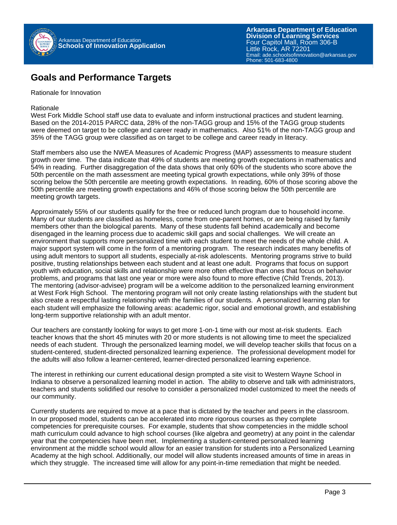

### **Goals and Performance Targets**

Rationale for Innovation

Rationale

West Fork Middle School staff use data to evaluate and inform instructional practices and student learning. Based on the 2014-2015 PARCC data, 28% of the non-TAGG group and 15% of the TAGG group students were deemed on target to be college and career ready in mathematics. Also 51% of the non-TAGG group and 35% of the TAGG group were classified as on target to be college and career ready in literacy.

Staff members also use the NWEA Measures of Academic Progress (MAP) assessments to measure student growth over time. The data indicate that 49% of students are meeting growth expectations in mathematics and 54% in reading. Further disaggregation of the data shows that only 60% of the students who score above the 50th percentile on the math assessment are meeting typical growth expectations, while only 39% of those scoring below the 50th percentile are meeting growth expectations. In reading, 60% of those scoring above the 50th percentile are meeting growth expectations and 46% of those scoring below the 50th percentile are meeting growth targets.

Approximately 55% of our students qualify for the free or reduced lunch program due to household income. Many of our students are classified as homeless, come from one-parent homes, or are being raised by family members other than the biological parents. Many of these students fall behind academically and become disengaged in the learning process due to academic skill gaps and social challenges. We will create an environment that supports more personalized time with each student to meet the needs of the whole child. A major support system will come in the form of a mentoring program. The research indicates many benefits of using adult mentors to support all students, especially at-risk adolescents. Mentoring programs strive to build positive, trusting relationships between each student and at least one adult. Programs that focus on support youth with education, social skills and relationship were more often effective than ones that focus on behavior problems, and programs that last one year or more were also found to more effective (Child Trends, 2013). The mentoring (advisor-advisee) program will be a welcome addition to the personalized learning environment at West Fork High School. The mentoring program will not only create lasting relationships with the student but also create a respectful lasting relationship with the families of our students. A personalized learning plan for each student will emphasize the following areas: academic rigor, social and emotional growth, and establishing long-term supportive relationship with an adult mentor.

Our teachers are constantly looking for ways to get more 1-on-1 time with our most at-risk students. Each teacher knows that the short 45 minutes with 20 or more students is not allowing time to meet the specialized needs of each student. Through the personalized learning model, we will develop teacher skills that focus on a student-centered, student-directed personalized learning experience. The professional development model for the adults will also follow a learner-centered, learner-directed personalized learning experience.

The interest in rethinking our current educational design prompted a site visit to Western Wayne School in Indiana to observe a personalized learning model in action. The ability to observe and talk with administrators, teachers and students solidified our resolve to consider a personalized model customized to meet the needs of our community.

Currently students are required to move at a pace that is dictated by the teacher and peers in the classroom. In our proposed model, students can be accelerated into more rigorous courses as they complete competencies for prerequisite courses. For example, students that show competencies in the middle school math curriculum could advance to high school courses (like algebra and geometry) at any point in the calendar year that the competencies have been met. Implementing a student-centered personalized learning environment at the middle school would allow for an easier transition for students into a Personalized Learning Academy at the high school. Additionally, our model will allow students increased amounts of time in areas in which they struggle. The increased time will allow for any point-in-time remediation that might be needed.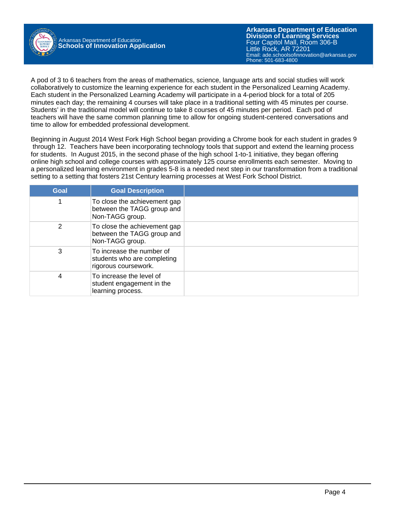

A pod of 3 to 6 teachers from the areas of mathematics, science, language arts and social studies will work collaboratively to customize the learning experience for each student in the Personalized Learning Academy. Each student in the Personalized Learning Academy will participate in a 4-period block for a total of 205 minutes each day; the remaining 4 courses will take place in a traditional setting with 45 minutes per course. Students' in the traditional model will continue to take 8 courses of 45 minutes per period. Each pod of teachers will have the same common planning time to allow for ongoing student-centered conversations and time to allow for embedded professional development.

Beginning in August 2014 West Fork High School began providing a Chrome book for each student in grades 9 through 12. Teachers have been incorporating technology tools that support and extend the learning process for students. In August 2015, in the second phase of the high school 1-to-1 initiative, they began offering online high school and college courses with approximately 125 course enrollments each semester. Moving to a personalized learning environment in grades 5-8 is a needed next step in our transformation from a traditional setting to a setting that fosters 21st Century learning processes at West Fork School District.

| Goal | <b>Goal Description</b>                                                          |  |
|------|----------------------------------------------------------------------------------|--|
|      | To close the achievement gap<br>between the TAGG group and<br>Non-TAGG group.    |  |
| 2    | To close the achievement gap<br>between the TAGG group and<br>Non-TAGG group.    |  |
| 3    | To increase the number of<br>students who are completing<br>rigorous coursework. |  |
| 4    | To increase the level of<br>student engagement in the<br>learning process.       |  |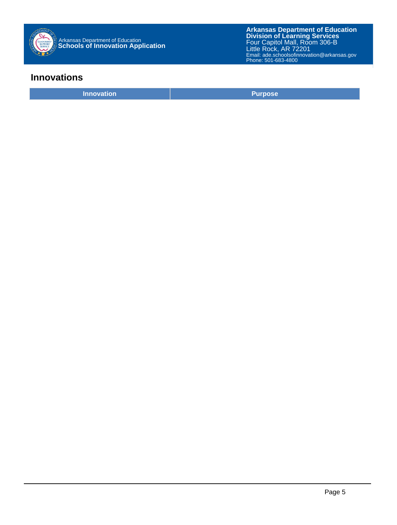

### **Innovations**

**Innovation Purpose**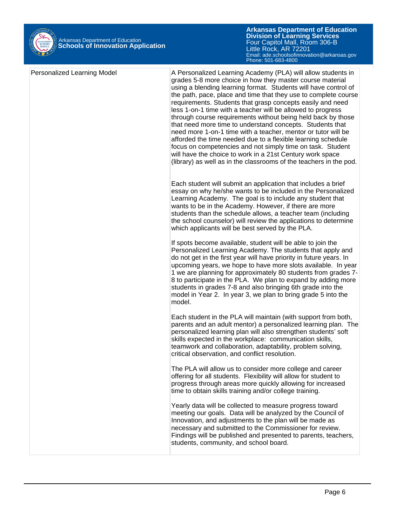

| Personalized Learning Model | A Personalized Learning Academy (PLA) will allow students in<br>grades 5-8 more choice in how they master course material<br>using a blending learning format. Students will have control of<br>the path, pace, place and time that they use to complete course<br>requirements. Students that grasp concepts easily and need<br>less 1-on-1 time with a teacher will be allowed to progress<br>through course requirements without being held back by those<br>that need more time to understand concepts. Students that<br>need more 1-on-1 time with a teacher, mentor or tutor will be<br>afforded the time needed due to a flexible learning schedule<br>focus on competencies and not simply time on task. Student<br>will have the choice to work in a 21st Century work space<br>(library) as well as in the classrooms of the teachers in the pod. |
|-----------------------------|-------------------------------------------------------------------------------------------------------------------------------------------------------------------------------------------------------------------------------------------------------------------------------------------------------------------------------------------------------------------------------------------------------------------------------------------------------------------------------------------------------------------------------------------------------------------------------------------------------------------------------------------------------------------------------------------------------------------------------------------------------------------------------------------------------------------------------------------------------------|
|                             | Each student will submit an application that includes a brief<br>essay on why he/she wants to be included in the Personalized<br>Learning Academy. The goal is to include any student that<br>wants to be in the Academy. However, if there are more<br>students than the schedule allows, a teacher team (including<br>the school counselor) will review the applications to determine<br>which applicants will be best served by the PLA.                                                                                                                                                                                                                                                                                                                                                                                                                 |
|                             | If spots become available, student will be able to join the<br>Personalized Learning Academy. The students that apply and<br>do not get in the first year will have priority in future years. In<br>upcoming years, we hope to have more slots available. In year<br>1 we are planning for approximately 80 students from grades 7-<br>8 to participate in the PLA. We plan to expand by adding more<br>students in grades 7-8 and also bringing 6th grade into the<br>model in Year 2. In year 3, we plan to bring grade 5 into the<br>model.                                                                                                                                                                                                                                                                                                              |
|                             | Each student in the PLA will maintain (with support from both,<br>parents and an adult mentor) a personalized learning plan. The<br>personalized learning plan will also strengthen students' soft<br>skills expected in the workplace: communication skills,<br>teamwork and collaboration, adaptability, problem solving,<br>critical observation, and conflict resolution.                                                                                                                                                                                                                                                                                                                                                                                                                                                                               |
|                             | The PLA will allow us to consider more college and career<br>offering for all students. Flexibility will allow for student to<br>progress through areas more quickly allowing for increased<br>time to obtain skills training and/or college training.                                                                                                                                                                                                                                                                                                                                                                                                                                                                                                                                                                                                      |
|                             | Yearly data will be collected to measure progress toward<br>meeting our goals. Data will be analyzed by the Council of<br>Innovation, and adjustments to the plan will be made as<br>necessary and submitted to the Commissioner for review.<br>Findings will be published and presented to parents, teachers,<br>students, community, and school board.                                                                                                                                                                                                                                                                                                                                                                                                                                                                                                    |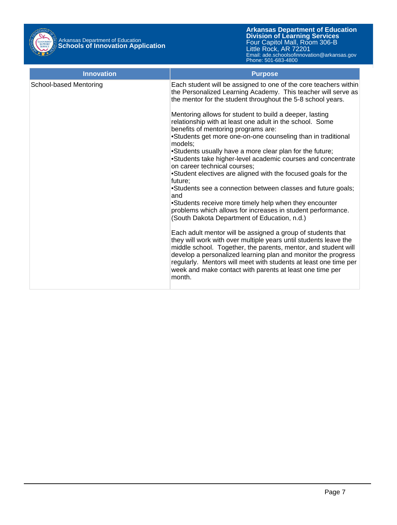

| <b>Innovation</b>      | <b>Purpose</b>                                                                                                                                                                                                                                                                                                                                                                                               |
|------------------------|--------------------------------------------------------------------------------------------------------------------------------------------------------------------------------------------------------------------------------------------------------------------------------------------------------------------------------------------------------------------------------------------------------------|
| School-based Mentoring | Each student will be assigned to one of the core teachers within<br>the Personalized Learning Academy. This teacher will serve as<br>the mentor for the student throughout the 5-8 school years.                                                                                                                                                                                                             |
|                        | Mentoring allows for student to build a deeper, lasting<br>relationship with at least one adult in the school. Some<br>benefits of mentoring programs are:                                                                                                                                                                                                                                                   |
|                        | •Students get more one-on-one counseling than in traditional<br>models:                                                                                                                                                                                                                                                                                                                                      |
|                        | •Students usually have a more clear plan for the future;<br>•Students take higher-level academic courses and concentrate<br>on career technical courses;                                                                                                                                                                                                                                                     |
|                        | •Student electives are aligned with the focused goals for the<br>future;                                                                                                                                                                                                                                                                                                                                     |
|                        | •Students see a connection between classes and future goals;<br>and                                                                                                                                                                                                                                                                                                                                          |
|                        | •Students receive more timely help when they encounter<br>problems which allows for increases in student performance.<br>(South Dakota Department of Education, n.d.)                                                                                                                                                                                                                                        |
|                        | Each adult mentor will be assigned a group of students that<br>they will work with over multiple years until students leave the<br>middle school. Together, the parents, mentor, and student will<br>develop a personalized learning plan and monitor the progress<br>regularly. Mentors will meet with students at least one time per<br>week and make contact with parents at least one time per<br>month. |
|                        |                                                                                                                                                                                                                                                                                                                                                                                                              |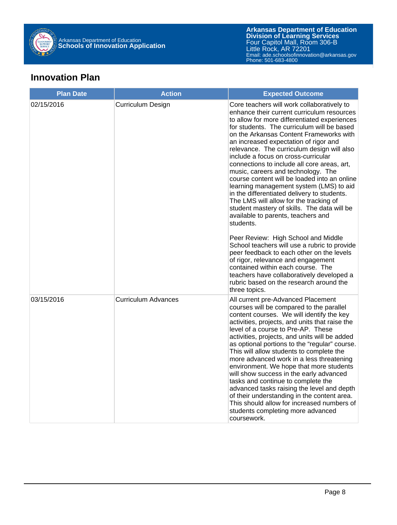

## **Innovation Plan**

| <b>Plan Date</b> | <b>Action</b>              | <b>Expected Outcome</b>                                                                                                                                                                                                                                                                                                                                                                                                                                                                                                                                                                                                                                                                                                                                                                                                                                                                                                                                                                                                                                            |
|------------------|----------------------------|--------------------------------------------------------------------------------------------------------------------------------------------------------------------------------------------------------------------------------------------------------------------------------------------------------------------------------------------------------------------------------------------------------------------------------------------------------------------------------------------------------------------------------------------------------------------------------------------------------------------------------------------------------------------------------------------------------------------------------------------------------------------------------------------------------------------------------------------------------------------------------------------------------------------------------------------------------------------------------------------------------------------------------------------------------------------|
| 02/15/2016       | <b>Curriculum Design</b>   | Core teachers will work collaboratively to<br>enhance their current curriculum resources<br>to allow for more differentiated experiences<br>for students. The curriculum will be based<br>on the Arkansas Content Frameworks with<br>an increased expectation of rigor and<br>relevance. The curriculum design will also<br>include a focus on cross-curricular<br>connections to include all core areas, art,<br>music, careers and technology. The<br>course content will be loaded into an online<br>learning management system (LMS) to aid<br>in the differentiated delivery to students.<br>The LMS will allow for the tracking of<br>student mastery of skills. The data will be<br>available to parents, teachers and<br>students.<br>Peer Review: High School and Middle<br>School teachers will use a rubric to provide<br>peer feedback to each other on the levels<br>of rigor, relevance and engagement<br>contained within each course. The<br>teachers have collaboratively developed a<br>rubric based on the research around the<br>three topics. |
| 03/15/2016       | <b>Curriculum Advances</b> | All current pre-Advanced Placement<br>courses will be compared to the parallel<br>content courses. We will identify the key<br>activities, projects, and units that raise the<br>level of a course to Pre-AP. These<br>activities, projects, and units will be added<br>as optional portions to the "regular" course.<br>This will allow students to complete the<br>more advanced work in a less threatening<br>environment. We hope that more students<br>will show success in the early advanced<br>tasks and continue to complete the<br>advanced tasks raising the level and depth<br>of their understanding in the content area.<br>This should allow for increased numbers of<br>students completing more advanced<br>coursework.                                                                                                                                                                                                                                                                                                                           |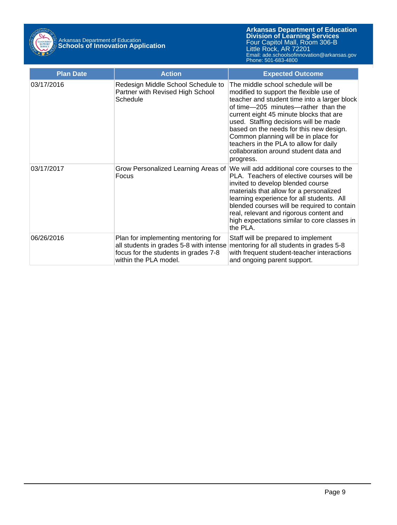

| <b>Plan Date</b> | <b>Action</b>                                                                                                                                   | <b>Expected Outcome</b>                                                                                                                                                                                                                                                                                                                                                                                                                     |
|------------------|-------------------------------------------------------------------------------------------------------------------------------------------------|---------------------------------------------------------------------------------------------------------------------------------------------------------------------------------------------------------------------------------------------------------------------------------------------------------------------------------------------------------------------------------------------------------------------------------------------|
| 03/17/2016       | Redesign Middle School Schedule to<br>Partner with Revised High School<br>Schedule                                                              | The middle school schedule will be<br>modified to support the flexible use of<br>teacher and student time into a larger block<br>of time-205 minutes-rather than the<br>current eight 45 minute blocks that are<br>used. Staffing decisions will be made<br>based on the needs for this new design.<br>Common planning will be in place for<br>teachers in the PLA to allow for daily<br>collaboration around student data and<br>progress. |
| 03/17/2017       | Grow Personalized Learning Areas of<br>Focus                                                                                                    | We will add additional core courses to the<br>PLA. Teachers of elective courses will be<br>invited to develop blended course<br>materials that allow for a personalized<br>learning experience for all students. All<br>blended courses will be required to contain<br>real, relevant and rigorous content and<br>high expectations similar to core classes in<br>the PLA.                                                                  |
| 06/26/2016       | Plan for implementing mentoring for<br>all students in grades 5-8 with intense<br>focus for the students in grades 7-8<br>within the PLA model. | Staff will be prepared to implement<br>mentoring for all students in grades 5-8<br>with frequent student-teacher interactions<br>and ongoing parent support.                                                                                                                                                                                                                                                                                |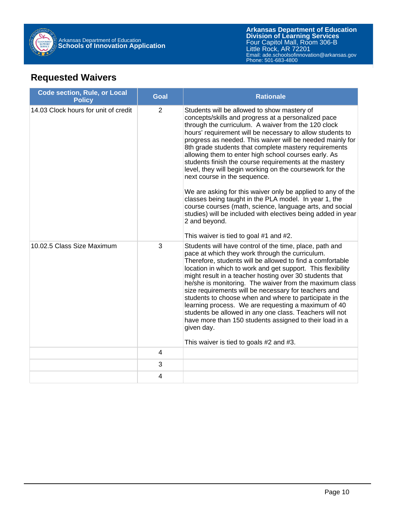

# **Requested Waivers**

| <b>Code section, Rule, or Local</b><br><b>Policy</b> | <b>Goal</b> | <b>Rationale</b>                                                                                                                                                                                                                                                                                                                                                                                                                                                                                                                                                                                                                                                                                                                                                                                                                                                          |  |
|------------------------------------------------------|-------------|---------------------------------------------------------------------------------------------------------------------------------------------------------------------------------------------------------------------------------------------------------------------------------------------------------------------------------------------------------------------------------------------------------------------------------------------------------------------------------------------------------------------------------------------------------------------------------------------------------------------------------------------------------------------------------------------------------------------------------------------------------------------------------------------------------------------------------------------------------------------------|--|
| 14.03 Clock hours for unit of credit                 | 2           | Students will be allowed to show mastery of<br>concepts/skills and progress at a personalized pace<br>through the curriculum. A waiver from the 120 clock<br>hours' requirement will be necessary to allow students to<br>progress as needed. This waiver will be needed mainly for<br>8th grade students that complete mastery requirements<br>allowing them to enter high school courses early. As<br>students finish the course requirements at the mastery<br>level, they will begin working on the coursework for the<br>next course in the sequence.<br>We are asking for this waiver only be applied to any of the<br>classes being taught in the PLA model. In year 1, the<br>course courses (math, science, language arts, and social<br>studies) will be included with electives being added in year<br>2 and beyond.<br>This waiver is tied to goal #1 and #2. |  |
| 10.02.5 Class Size Maximum                           | 3           | Students will have control of the time, place, path and<br>pace at which they work through the curriculum.<br>Therefore, students will be allowed to find a comfortable<br>location in which to work and get support. This flexibility<br>might result in a teacher hosting over 30 students that<br>he/she is monitoring. The waiver from the maximum class<br>size requirements will be necessary for teachers and<br>students to choose when and where to participate in the<br>learning process. We are requesting a maximum of 40<br>students be allowed in any one class. Teachers will not<br>have more than 150 students assigned to their load in a<br>given day.<br>This waiver is tied to goals #2 and #3.                                                                                                                                                     |  |
|                                                      | 4           |                                                                                                                                                                                                                                                                                                                                                                                                                                                                                                                                                                                                                                                                                                                                                                                                                                                                           |  |
|                                                      | 3           |                                                                                                                                                                                                                                                                                                                                                                                                                                                                                                                                                                                                                                                                                                                                                                                                                                                                           |  |
|                                                      | 4           |                                                                                                                                                                                                                                                                                                                                                                                                                                                                                                                                                                                                                                                                                                                                                                                                                                                                           |  |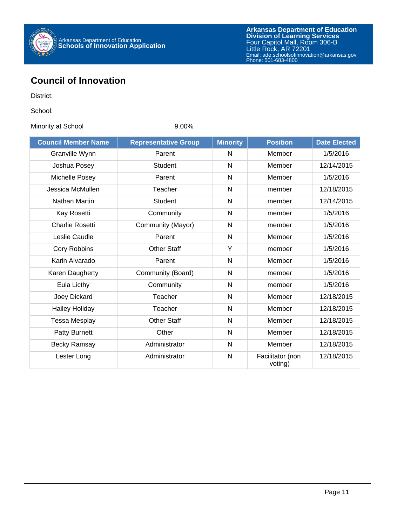

# **Council of Innovation**

District:

School:

Minority at School 9.00%

| <b>Council Member Name</b> | <b>Representative Group</b> | <b>Minority</b> | <b>Position</b>             | <b>Date Elected</b> |
|----------------------------|-----------------------------|-----------------|-----------------------------|---------------------|
| Granville Wynn             | Parent                      | N               | Member                      | 1/5/2016            |
| Joshua Posey               | <b>Student</b>              | N               | Member                      | 12/14/2015          |
| Michelle Posey             | Parent                      | $\mathsf{N}$    | Member                      | 1/5/2016            |
| Jessica McMullen           | Teacher                     | N               | member                      | 12/18/2015          |
| Nathan Martin              | Student                     | $\mathsf{N}$    | member                      | 12/14/2015          |
| Kay Rosetti                | Community                   | N               | member                      | 1/5/2016            |
| <b>Charlie Rosetti</b>     | Community (Mayor)           | N               | member                      | 1/5/2016            |
| Leslie Caudle              | Parent                      | $\mathsf{N}$    | Member                      | 1/5/2016            |
| Cory Robbins               | <b>Other Staff</b>          | Y               | member                      | 1/5/2016            |
| Karin Alvarado             | Parent                      | $\mathsf{N}$    | Member                      | 1/5/2016            |
| Karen Daugherty            | Community (Board)           | $\mathsf{N}$    | member                      | 1/5/2016            |
| Eula Licthy                | Community                   | $\mathsf{N}$    | member                      | 1/5/2016            |
| Joey Dickard               | Teacher                     | $\mathsf{N}$    | Member                      | 12/18/2015          |
| <b>Hailey Holiday</b>      | Teacher                     | N               | Member                      | 12/18/2015          |
| <b>Tessa Mesplay</b>       | <b>Other Staff</b>          | N               | Member                      | 12/18/2015          |
| Patty Burnett              | Other                       | $\mathsf{N}$    | Member                      | 12/18/2015          |
| <b>Becky Ramsay</b>        | Administrator               | N               | Member                      | 12/18/2015          |
| Lester Long                | Administrator               | $\mathsf{N}$    | Facilitator (non<br>voting) | 12/18/2015          |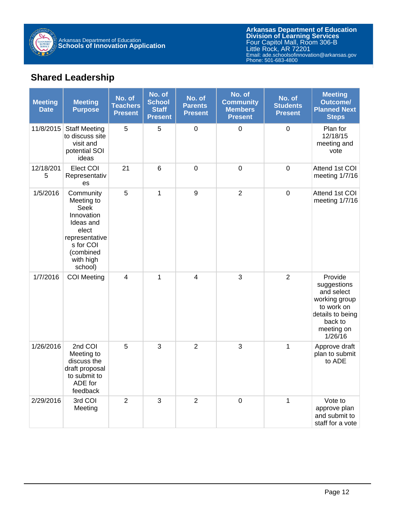

# **Shared Leadership**

| <b>Meeting</b><br><b>Date</b> | <b>Meeting</b><br><b>Purpose</b>                                                                                                        | No. of<br><b>Teachers</b><br><b>Present</b> | No. of<br><b>School</b><br><b>Staff</b><br><b>Present</b> | No. of<br><b>Parents</b><br><b>Present</b> | No. of<br><b>Community</b><br><b>Members</b><br><b>Present</b> | No. of<br><b>Students</b><br><b>Present</b> | <b>Meeting</b><br><b>Outcome/</b><br><b>Planned Next</b><br><b>Steps</b>                                                    |
|-------------------------------|-----------------------------------------------------------------------------------------------------------------------------------------|---------------------------------------------|-----------------------------------------------------------|--------------------------------------------|----------------------------------------------------------------|---------------------------------------------|-----------------------------------------------------------------------------------------------------------------------------|
| 11/8/2015                     | <b>Staff Meeting</b><br>to discuss site<br>visit and<br>potential SOI<br>ideas                                                          | 5                                           | 5                                                         | $\boldsymbol{0}$                           | $\mathbf 0$                                                    | $\mathbf 0$                                 | Plan for<br>12/18/15<br>meeting and<br>vote                                                                                 |
| 12/18/201<br>5                | Elect COI<br>Representativ<br>es                                                                                                        | 21                                          | $6\phantom{1}$                                            | $\mathbf 0$                                | $\mathbf 0$                                                    | $\mathbf 0$                                 | Attend 1st COI<br>meeting 1/7/16                                                                                            |
| 1/5/2016                      | Community<br>Meeting to<br>Seek<br>Innovation<br>Ideas and<br>elect<br>representative<br>s for COI<br>(combined<br>with high<br>school) | 5                                           | 1                                                         | $\boldsymbol{9}$                           | $\overline{2}$                                                 | $\overline{0}$                              | Attend 1st COI<br>meeting 1/7/16                                                                                            |
| 1/7/2016                      | <b>COI Meeting</b>                                                                                                                      | 4                                           | $\mathbf{1}$                                              | 4                                          | 3                                                              | 2                                           | Provide<br>suggestions<br>and select<br>working group<br>to work on<br>details to being<br>back to<br>meeting on<br>1/26/16 |
| 1/26/2016                     | 2nd COI<br>Meeting to<br>discuss the<br>draft proposal<br>to submit to<br>ADE for<br>feedback                                           | 5                                           | 3                                                         | $\overline{2}$                             | 3                                                              | $\mathbf{1}$                                | Approve draft<br>plan to submit<br>to ADE                                                                                   |
| 2/29/2016                     | 3rd COI<br>Meeting                                                                                                                      | $\overline{2}$                              | 3                                                         | $\overline{2}$                             | $\mathbf 0$                                                    | $\mathbf{1}$                                | Vote to<br>approve plan<br>and submit to<br>staff for a vote                                                                |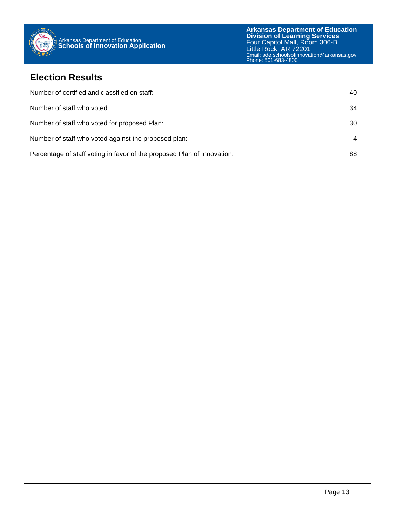

### **Election Results**

| Number of certified and classified on staff:                            | 40 |
|-------------------------------------------------------------------------|----|
| Number of staff who voted:                                              | 34 |
| Number of staff who voted for proposed Plan:                            | 30 |
| Number of staff who voted against the proposed plan:                    | 4  |
| Percentage of staff voting in favor of the proposed Plan of Innovation: | 88 |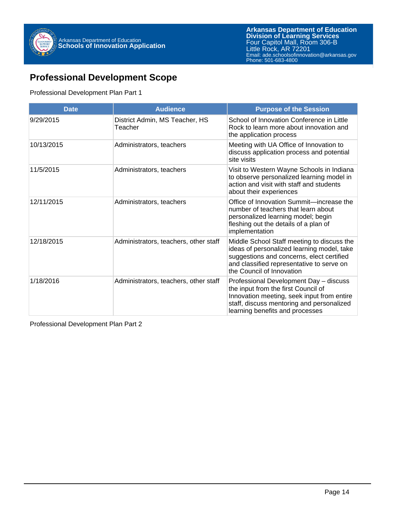

# **Professional Development Scope**

#### Professional Development Plan Part 1

| <b>Date</b> | <b>Audience</b>                           | <b>Purpose of the Session</b>                                                                                                                                                                                   |
|-------------|-------------------------------------------|-----------------------------------------------------------------------------------------------------------------------------------------------------------------------------------------------------------------|
| 9/29/2015   | District Admin, MS Teacher, HS<br>Teacher | School of Innovation Conference in Little<br>Rock to learn more about innovation and<br>the application process                                                                                                 |
| 10/13/2015  | Administrators, teachers                  | Meeting with UA Office of Innovation to<br>discuss application process and potential<br>site visits                                                                                                             |
| 11/5/2015   | Administrators, teachers                  | Visit to Western Wayne Schools in Indiana<br>to observe personalized learning model in<br>action and visit with staff and students<br>about their experiences                                                   |
| 12/11/2015  | Administrators, teachers                  | Office of Innovation Summit—increase the<br>number of teachers that learn about<br>personalized learning model; begin<br>fleshing out the details of a plan of<br>implementation                                |
| 12/18/2015  | Administrators, teachers, other staff     | Middle School Staff meeting to discuss the<br>ideas of personalized learning model, take<br>suggestions and concerns, elect certified<br>and classified representative to serve on<br>the Council of Innovation |
| 1/18/2016   | Administrators, teachers, other staff     | Professional Development Day - discuss<br>the input from the first Council of<br>Innovation meeting, seek input from entire<br>staff, discuss mentoring and personalized<br>learning benefits and processes     |

Professional Development Plan Part 2